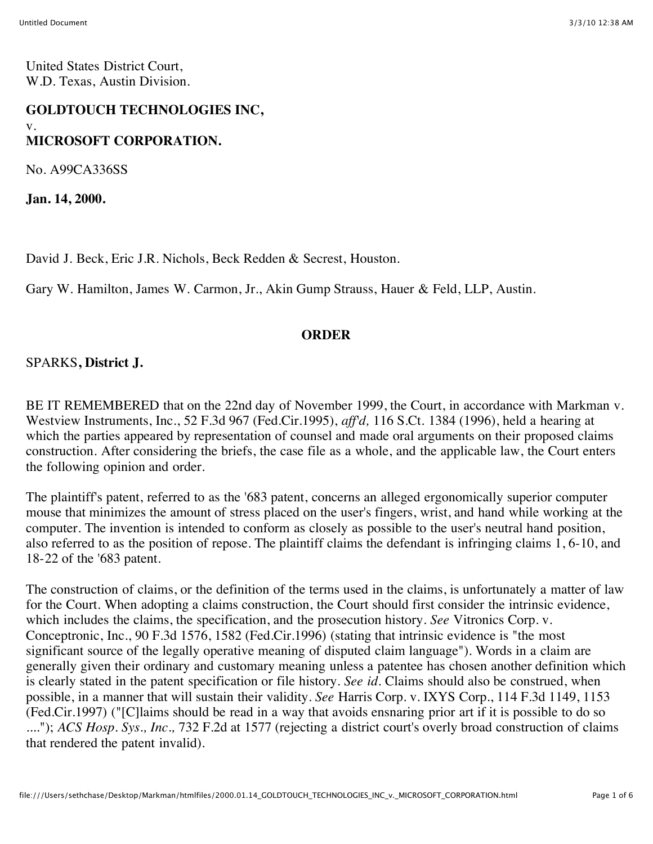United States District Court, W.D. Texas, Austin Division.

# **GOLDTOUCH TECHNOLOGIES INC,** v. **MICROSOFT CORPORATION.**

No. A99CA336SS

**Jan. 14, 2000.**

David J. Beck, Eric J.R. Nichols, Beck Redden & Secrest, Houston.

Gary W. Hamilton, James W. Carmon, Jr., Akin Gump Strauss, Hauer & Feld, LLP, Austin.

#### **ORDER**

SPARKS**, District J.**

BE IT REMEMBERED that on the 22nd day of November 1999, the Court, in accordance with Markman v. Westview Instruments, Inc., 52 F.3d 967 (Fed.Cir.1995), *aff'd,* 116 S.Ct. 1384 (1996), held a hearing at which the parties appeared by representation of counsel and made oral arguments on their proposed claims construction. After considering the briefs, the case file as a whole, and the applicable law, the Court enters the following opinion and order.

The plaintiff's patent, referred to as the '683 patent, concerns an alleged ergonomically superior computer mouse that minimizes the amount of stress placed on the user's fingers, wrist, and hand while working at the computer. The invention is intended to conform as closely as possible to the user's neutral hand position, also referred to as the position of repose. The plaintiff claims the defendant is infringing claims 1, 6-10, and 18-22 of the '683 patent.

The construction of claims, or the definition of the terms used in the claims, is unfortunately a matter of law for the Court. When adopting a claims construction, the Court should first consider the intrinsic evidence, which includes the claims, the specification, and the prosecution history. *See* Vitronics Corp. v. Conceptronic, Inc., 90 F.3d 1576, 1582 (Fed.Cir.1996) (stating that intrinsic evidence is "the most significant source of the legally operative meaning of disputed claim language"). Words in a claim are generally given their ordinary and customary meaning unless a patentee has chosen another definition which is clearly stated in the patent specification or file history. *See id.* Claims should also be construed, when possible, in a manner that will sustain their validity. *See* Harris Corp. v. IXYS Corp., 114 F.3d 1149, 1153 (Fed.Cir.1997) ("[C]laims should be read in a way that avoids ensnaring prior art if it is possible to do so ...."); *ACS Hosp. Sys., Inc.,* 732 F.2d at 1577 (rejecting a district court's overly broad construction of claims that rendered the patent invalid).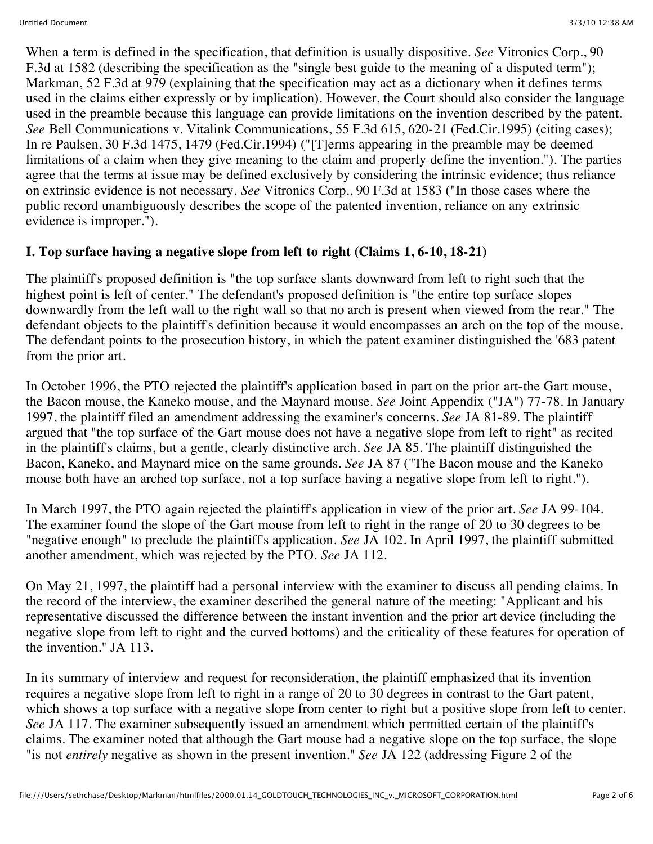When a term is defined in the specification, that definition is usually dispositive. *See* Vitronics Corp., 90 F.3d at 1582 (describing the specification as the "single best guide to the meaning of a disputed term"); Markman, 52 F.3d at 979 (explaining that the specification may act as a dictionary when it defines terms used in the claims either expressly or by implication). However, the Court should also consider the language used in the preamble because this language can provide limitations on the invention described by the patent. *See* Bell Communications v. Vitalink Communications, 55 F.3d 615, 620-21 (Fed.Cir.1995) (citing cases); In re Paulsen, 30 F.3d 1475, 1479 (Fed.Cir.1994) ("[T]erms appearing in the preamble may be deemed limitations of a claim when they give meaning to the claim and properly define the invention."). The parties agree that the terms at issue may be defined exclusively by considering the intrinsic evidence; thus reliance on extrinsic evidence is not necessary. *See* Vitronics Corp., 90 F.3d at 1583 ("In those cases where the public record unambiguously describes the scope of the patented invention, reliance on any extrinsic evidence is improper.").

# **I. Top surface having a negative slope from left to right (Claims 1, 6-10, 18-21)**

The plaintiff's proposed definition is "the top surface slants downward from left to right such that the highest point is left of center." The defendant's proposed definition is "the entire top surface slopes downwardly from the left wall to the right wall so that no arch is present when viewed from the rear." The defendant objects to the plaintiff's definition because it would encompasses an arch on the top of the mouse. The defendant points to the prosecution history, in which the patent examiner distinguished the '683 patent from the prior art.

In October 1996, the PTO rejected the plaintiff's application based in part on the prior art-the Gart mouse, the Bacon mouse, the Kaneko mouse, and the Maynard mouse. *See* Joint Appendix ("JA") 77-78. In January 1997, the plaintiff filed an amendment addressing the examiner's concerns. *See* JA 81-89. The plaintiff argued that "the top surface of the Gart mouse does not have a negative slope from left to right" as recited in the plaintiff's claims, but a gentle, clearly distinctive arch. *See* JA 85. The plaintiff distinguished the Bacon, Kaneko, and Maynard mice on the same grounds. *See* JA 87 ("The Bacon mouse and the Kaneko mouse both have an arched top surface, not a top surface having a negative slope from left to right.").

In March 1997, the PTO again rejected the plaintiff's application in view of the prior art. *See* JA 99-104. The examiner found the slope of the Gart mouse from left to right in the range of 20 to 30 degrees to be "negative enough" to preclude the plaintiff's application. *See* JA 102. In April 1997, the plaintiff submitted another amendment, which was rejected by the PTO. *See* JA 112.

On May 21, 1997, the plaintiff had a personal interview with the examiner to discuss all pending claims. In the record of the interview, the examiner described the general nature of the meeting: "Applicant and his representative discussed the difference between the instant invention and the prior art device (including the negative slope from left to right and the curved bottoms) and the criticality of these features for operation of the invention." JA 113.

In its summary of interview and request for reconsideration, the plaintiff emphasized that its invention requires a negative slope from left to right in a range of 20 to 30 degrees in contrast to the Gart patent, which shows a top surface with a negative slope from center to right but a positive slope from left to center. *See* JA 117. The examiner subsequently issued an amendment which permitted certain of the plaintiff's claims. The examiner noted that although the Gart mouse had a negative slope on the top surface, the slope "is not *entirely* negative as shown in the present invention." *See* JA 122 (addressing Figure 2 of the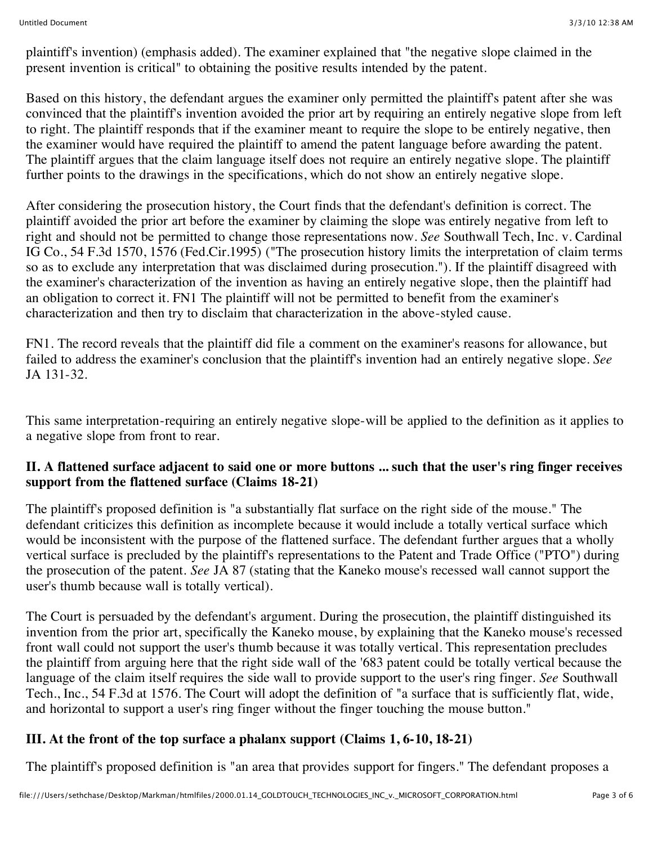plaintiff's invention) (emphasis added). The examiner explained that "the negative slope claimed in the present invention is critical" to obtaining the positive results intended by the patent.

Based on this history, the defendant argues the examiner only permitted the plaintiff's patent after she was convinced that the plaintiff's invention avoided the prior art by requiring an entirely negative slope from left to right. The plaintiff responds that if the examiner meant to require the slope to be entirely negative, then the examiner would have required the plaintiff to amend the patent language before awarding the patent. The plaintiff argues that the claim language itself does not require an entirely negative slope. The plaintiff further points to the drawings in the specifications, which do not show an entirely negative slope.

After considering the prosecution history, the Court finds that the defendant's definition is correct. The plaintiff avoided the prior art before the examiner by claiming the slope was entirely negative from left to right and should not be permitted to change those representations now. *See* Southwall Tech, Inc. v. Cardinal IG Co., 54 F.3d 1570, 1576 (Fed.Cir.1995) ("The prosecution history limits the interpretation of claim terms so as to exclude any interpretation that was disclaimed during prosecution."). If the plaintiff disagreed with the examiner's characterization of the invention as having an entirely negative slope, then the plaintiff had an obligation to correct it. FN1 The plaintiff will not be permitted to benefit from the examiner's characterization and then try to disclaim that characterization in the above-styled cause.

FN1. The record reveals that the plaintiff did file a comment on the examiner's reasons for allowance, but failed to address the examiner's conclusion that the plaintiff's invention had an entirely negative slope. *See* JA 131-32.

This same interpretation-requiring an entirely negative slope-will be applied to the definition as it applies to a negative slope from front to rear.

### **II. A flattened surface adjacent to said one or more buttons ... such that the user's ring finger receives support from the flattened surface (Claims 18-21)**

The plaintiff's proposed definition is "a substantially flat surface on the right side of the mouse." The defendant criticizes this definition as incomplete because it would include a totally vertical surface which would be inconsistent with the purpose of the flattened surface. The defendant further argues that a wholly vertical surface is precluded by the plaintiff's representations to the Patent and Trade Office ("PTO") during the prosecution of the patent. *See* JA 87 (stating that the Kaneko mouse's recessed wall cannot support the user's thumb because wall is totally vertical).

The Court is persuaded by the defendant's argument. During the prosecution, the plaintiff distinguished its invention from the prior art, specifically the Kaneko mouse, by explaining that the Kaneko mouse's recessed front wall could not support the user's thumb because it was totally vertical. This representation precludes the plaintiff from arguing here that the right side wall of the '683 patent could be totally vertical because the language of the claim itself requires the side wall to provide support to the user's ring finger. *See* Southwall Tech., Inc., 54 F.3d at 1576. The Court will adopt the definition of "a surface that is sufficiently flat, wide, and horizontal to support a user's ring finger without the finger touching the mouse button."

# **III. At the front of the top surface a phalanx support (Claims 1, 6-10, 18-21)**

The plaintiff's proposed definition is "an area that provides support for fingers." The defendant proposes a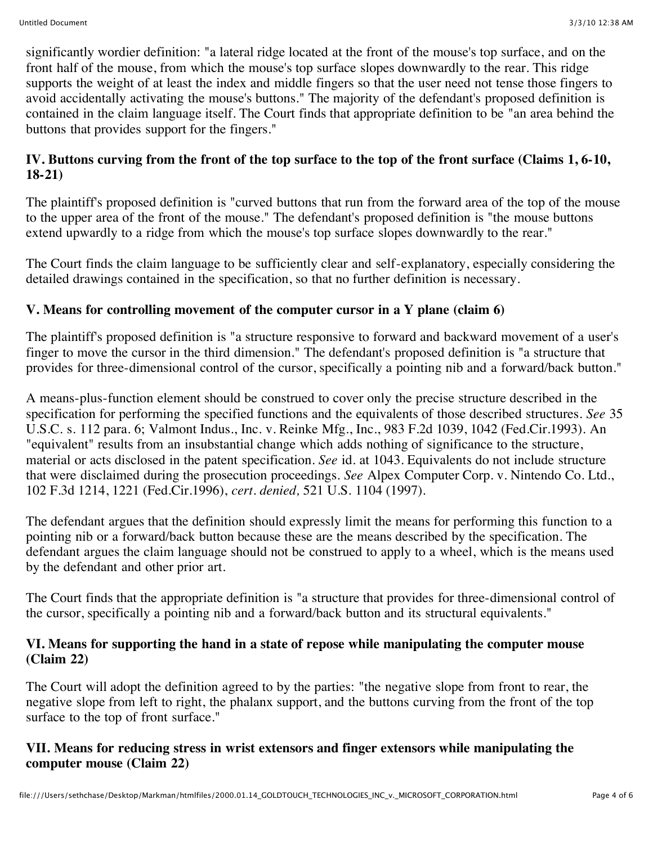significantly wordier definition: "a lateral ridge located at the front of the mouse's top surface, and on the front half of the mouse, from which the mouse's top surface slopes downwardly to the rear. This ridge supports the weight of at least the index and middle fingers so that the user need not tense those fingers to avoid accidentally activating the mouse's buttons." The majority of the defendant's proposed definition is contained in the claim language itself. The Court finds that appropriate definition to be "an area behind the buttons that provides support for the fingers."

# **IV. Buttons curving from the front of the top surface to the top of the front surface (Claims 1, 6-10, 18-21)**

The plaintiff's proposed definition is "curved buttons that run from the forward area of the top of the mouse to the upper area of the front of the mouse." The defendant's proposed definition is "the mouse buttons extend upwardly to a ridge from which the mouse's top surface slopes downwardly to the rear."

The Court finds the claim language to be sufficiently clear and self-explanatory, especially considering the detailed drawings contained in the specification, so that no further definition is necessary.

# **V. Means for controlling movement of the computer cursor in a Y plane (claim 6)**

The plaintiff's proposed definition is "a structure responsive to forward and backward movement of a user's finger to move the cursor in the third dimension." The defendant's proposed definition is "a structure that provides for three-dimensional control of the cursor, specifically a pointing nib and a forward/back button."

A means-plus-function element should be construed to cover only the precise structure described in the specification for performing the specified functions and the equivalents of those described structures. *See* 35 U.S.C. s. 112 para. 6; Valmont Indus., Inc. v. Reinke Mfg., Inc., 983 F.2d 1039, 1042 (Fed.Cir.1993). An "equivalent" results from an insubstantial change which adds nothing of significance to the structure, material or acts disclosed in the patent specification. *See* id. at 1043. Equivalents do not include structure that were disclaimed during the prosecution proceedings. *See* Alpex Computer Corp. v. Nintendo Co. Ltd., 102 F.3d 1214, 1221 (Fed.Cir.1996), *cert. denied,* 521 U.S. 1104 (1997).

The defendant argues that the definition should expressly limit the means for performing this function to a pointing nib or a forward/back button because these are the means described by the specification. The defendant argues the claim language should not be construed to apply to a wheel, which is the means used by the defendant and other prior art.

The Court finds that the appropriate definition is "a structure that provides for three-dimensional control of the cursor, specifically a pointing nib and a forward/back button and its structural equivalents."

#### **VI. Means for supporting the hand in a state of repose while manipulating the computer mouse (Claim 22)**

The Court will adopt the definition agreed to by the parties: "the negative slope from front to rear, the negative slope from left to right, the phalanx support, and the buttons curving from the front of the top surface to the top of front surface."

### **VII. Means for reducing stress in wrist extensors and finger extensors while manipulating the computer mouse (Claim 22)**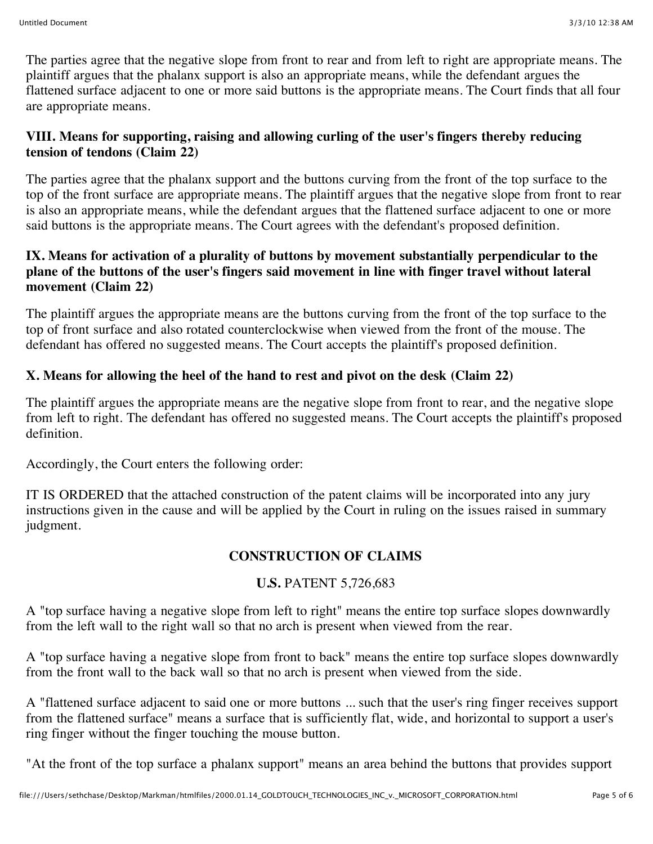The parties agree that the negative slope from front to rear and from left to right are appropriate means. The plaintiff argues that the phalanx support is also an appropriate means, while the defendant argues the flattened surface adjacent to one or more said buttons is the appropriate means. The Court finds that all four are appropriate means.

### **VIII. Means for supporting, raising and allowing curling of the user's fingers thereby reducing tension of tendons (Claim 22)**

The parties agree that the phalanx support and the buttons curving from the front of the top surface to the top of the front surface are appropriate means. The plaintiff argues that the negative slope from front to rear is also an appropriate means, while the defendant argues that the flattened surface adjacent to one or more said buttons is the appropriate means. The Court agrees with the defendant's proposed definition.

#### **IX. Means for activation of a plurality of buttons by movement substantially perpendicular to the plane of the buttons of the user's fingers said movement in line with finger travel without lateral movement (Claim 22)**

The plaintiff argues the appropriate means are the buttons curving from the front of the top surface to the top of front surface and also rotated counterclockwise when viewed from the front of the mouse. The defendant has offered no suggested means. The Court accepts the plaintiff's proposed definition.

### **X. Means for allowing the heel of the hand to rest and pivot on the desk (Claim 22)**

The plaintiff argues the appropriate means are the negative slope from front to rear, and the negative slope from left to right. The defendant has offered no suggested means. The Court accepts the plaintiff's proposed definition.

Accordingly, the Court enters the following order:

IT IS ORDERED that the attached construction of the patent claims will be incorporated into any jury instructions given in the cause and will be applied by the Court in ruling on the issues raised in summary judgment.

# **CONSTRUCTION OF CLAIMS**

# **U.S.** PATENT 5,726,683

A "top surface having a negative slope from left to right" means the entire top surface slopes downwardly from the left wall to the right wall so that no arch is present when viewed from the rear.

A "top surface having a negative slope from front to back" means the entire top surface slopes downwardly from the front wall to the back wall so that no arch is present when viewed from the side.

A "flattened surface adjacent to said one or more buttons ... such that the user's ring finger receives support from the flattened surface" means a surface that is sufficiently flat, wide, and horizontal to support a user's ring finger without the finger touching the mouse button.

"At the front of the top surface a phalanx support" means an area behind the buttons that provides support